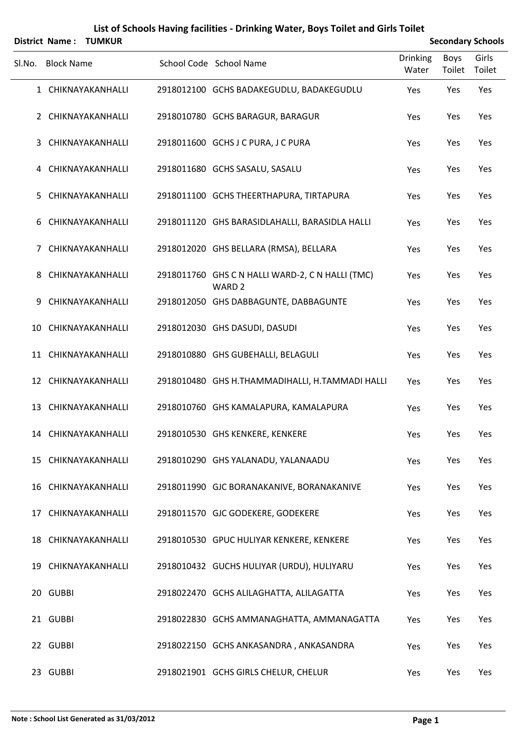|        |                   | District Name: TUMKUR |                                                                       |                          | <b>Secondary Schools</b> |                 |  |
|--------|-------------------|-----------------------|-----------------------------------------------------------------------|--------------------------|--------------------------|-----------------|--|
| SI.No. | <b>Block Name</b> |                       | School Code School Name                                               | <b>Drinking</b><br>Water | Boys<br>Toilet           | Girls<br>Toilet |  |
|        |                   | 1 CHIKNAYAKANHALLI    | 2918012100 GCHS BADAKEGUDLU, BADAKEGUDLU                              | Yes                      | Yes                      | Yes             |  |
|        |                   | 2 CHIKNAYAKANHALLI    | 2918010780 GCHS BARAGUR, BARAGUR                                      | Yes                      | Yes                      | Yes             |  |
| 3      |                   | CHIKNAYAKANHALLI      | 2918011600 GCHS J C PURA, J C PURA                                    | Yes                      | Yes                      | Yes             |  |
|        |                   | 4 CHIKNAYAKANHALLI    | 2918011680 GCHS SASALU, SASALU                                        | Yes                      | Yes                      | Yes             |  |
| 5.     |                   | CHIKNAYAKANHALLI      | 2918011100 GCHS THEERTHAPURA, TIRTAPURA                               | Yes                      | Yes                      | Yes             |  |
|        |                   | 6 CHIKNAYAKANHALLI    | 2918011120 GHS BARASIDLAHALLI, BARASIDLA HALLI                        | Yes                      | Yes                      | Yes             |  |
| 7      |                   | CHIKNAYAKANHALLI      | 2918012020 GHS BELLARA (RMSA), BELLARA                                | Yes                      | Yes                      | Yes             |  |
| 8      |                   | CHIKNAYAKANHALLI      | 2918011760 GHS C N HALLI WARD-2, C N HALLI (TMC)<br>WARD <sub>2</sub> | Yes                      | Yes                      | Yes             |  |
| 9      |                   | CHIKNAYAKANHALLI      | 2918012050 GHS DABBAGUNTE, DABBAGUNTE                                 | Yes                      | Yes                      | Yes             |  |
|        |                   | 10 CHIKNAYAKANHALLI   | 2918012030 GHS DASUDI, DASUDI                                         | Yes                      | Yes                      | Yes             |  |
|        |                   | 11 CHIKNAYAKANHALLI   | 2918010880 GHS GUBEHALLI, BELAGULI                                    | Yes                      | Yes                      | Yes             |  |
|        |                   | 12 CHIKNAYAKANHALLI   | 2918010480 GHS H.THAMMADIHALLI, H.TAMMADI HALLI                       | Yes                      | Yes                      | Yes             |  |
|        |                   | 13 CHIKNAYAKANHALLI   | 2918010760 GHS KAMALAPURA, KAMALAPURA                                 | Yes                      | Yes                      | Yes             |  |
|        |                   | 14 CHIKNAYAKANHALLI   | 2918010530 GHS KENKERE, KENKERE                                       | Yes                      | Yes                      | Yes             |  |
|        |                   | 15 CHIKNAYAKANHALLI   | 2918010290 GHS YALANADU, YALANAADU                                    | Yes                      | Yes                      | Yes             |  |
|        |                   | 16 CHIKNAYAKANHALLI   | 2918011990 GJC BORANAKANIVE, BORANAKANIVE                             | Yes                      | Yes                      | Yes             |  |
|        |                   | 17 CHIKNAYAKANHALLI   | 2918011570 GJC GODEKERE, GODEKERE                                     | Yes                      | Yes                      | Yes             |  |
|        |                   | 18 CHIKNAYAKANHALLI   | 2918010530 GPUC HULIYAR KENKERE, KENKERE                              | Yes                      | Yes                      | Yes             |  |
|        |                   | 19 CHIKNAYAKANHALLI   | 2918010432 GUCHS HULIYAR (URDU), HULIYARU                             | Yes                      | Yes                      | Yes             |  |
|        | 20 GUBBI          |                       | 2918022470 GCHS ALILAGHATTA, ALILAGATTA                               | Yes                      | Yes                      | Yes             |  |
|        | 21 GUBBI          |                       | 2918022830 GCHS AMMANAGHATTA, AMMANAGATTA                             | Yes                      | Yes                      | Yes             |  |
|        | 22 GUBBI          |                       | 2918022150 GCHS ANKASANDRA, ANKASANDRA                                | Yes                      | Yes                      | Yes             |  |
|        | 23 GUBBI          |                       | 2918021901 GCHS GIRLS CHELUR, CHELUR                                  | Yes                      | Yes                      | Yes             |  |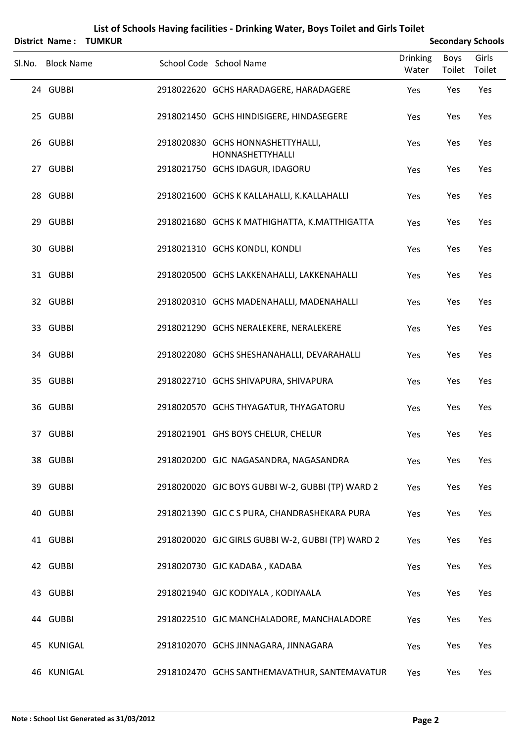|                   | <b>District Name: TUMKUR</b> |                                                       |                   |                       | <b>Secondary Schools</b> |
|-------------------|------------------------------|-------------------------------------------------------|-------------------|-----------------------|--------------------------|
| Sl.No. Block Name |                              | School Code School Name                               | Drinking<br>Water | <b>Boys</b><br>Toilet | Girls<br>Toilet          |
| 24 GUBBI          |                              | 2918022620 GCHS HARADAGERE, HARADAGERE                | Yes               | Yes                   | Yes                      |
| 25 GUBBI          |                              | 2918021450 GCHS HINDISIGERE, HINDASEGERE              | Yes               | Yes                   | Yes                      |
| 26 GUBBI          |                              | 2918020830 GCHS HONNASHETTYHALLI,<br>HONNASHETTYHALLI | Yes               | Yes                   | Yes                      |
| 27 GUBBI          |                              | 2918021750 GCHS IDAGUR, IDAGORU                       | Yes               | Yes                   | Yes                      |
| 28 GUBBI          |                              | 2918021600 GCHS K KALLAHALLI, K.KALLAHALLI            | Yes               | Yes                   | Yes                      |
| 29 GUBBI          |                              | 2918021680 GCHS K MATHIGHATTA, K.MATTHIGATTA          | Yes               | Yes                   | Yes                      |
| 30 GUBBI          |                              | 2918021310 GCHS KONDLI, KONDLI                        | Yes               | Yes                   | Yes                      |
| 31 GUBBI          |                              | 2918020500 GCHS LAKKENAHALLI, LAKKENAHALLI            | Yes               | Yes                   | Yes                      |
| 32 GUBBI          |                              | 2918020310 GCHS MADENAHALLI, MADENAHALLI              | Yes               | Yes                   | Yes                      |
| 33 GUBBI          |                              | 2918021290 GCHS NERALEKERE, NERALEKERE                | Yes               | Yes                   | Yes                      |
| 34 GUBBI          |                              | 2918022080 GCHS SHESHANAHALLI, DEVARAHALLI            | Yes               | Yes                   | Yes                      |
| 35 GUBBI          |                              | 2918022710 GCHS SHIVAPURA, SHIVAPURA                  | Yes               | Yes                   | Yes                      |
| 36 GUBBI          |                              | 2918020570 GCHS THYAGATUR, THYAGATORU                 | Yes               | Yes                   | Yes                      |
| 37 GUBBI          |                              | 2918021901 GHS BOYS CHELUR, CHELUR                    | Yes               | Yes                   | Yes                      |
| 38 GUBBI          |                              | 2918020200 GJC NAGASANDRA, NAGASANDRA                 | Yes               | Yes                   | Yes                      |
| 39 GUBBI          |                              | 2918020020 GJC BOYS GUBBI W-2, GUBBI (TP) WARD 2      | Yes               | Yes                   | Yes                      |
| 40 GUBBI          |                              | 2918021390 GJC C S PURA, CHANDRASHEKARA PURA          | Yes               | Yes                   | Yes                      |
| 41 GUBBI          |                              | 2918020020 GJC GIRLS GUBBI W-2, GUBBI (TP) WARD 2     | Yes               | Yes                   | Yes                      |
| 42 GUBBI          |                              | 2918020730 GJC KADABA, KADABA                         | Yes               | Yes                   | Yes                      |
| 43 GUBBI          |                              | 2918021940 GJC KODIYALA, KODIYAALA                    | Yes               | Yes                   | Yes                      |
| 44 GUBBI          |                              | 2918022510 GJC MANCHALADORE, MANCHALADORE             | Yes               | Yes                   | Yes                      |
| 45 KUNIGAL        |                              | 2918102070 GCHS JINNAGARA, JINNAGARA                  | Yes               | Yes                   | Yes                      |
| 46 KUNIGAL        |                              | 2918102470 GCHS SANTHEMAVATHUR, SANTEMAVATUR          | Yes               | Yes                   | Yes                      |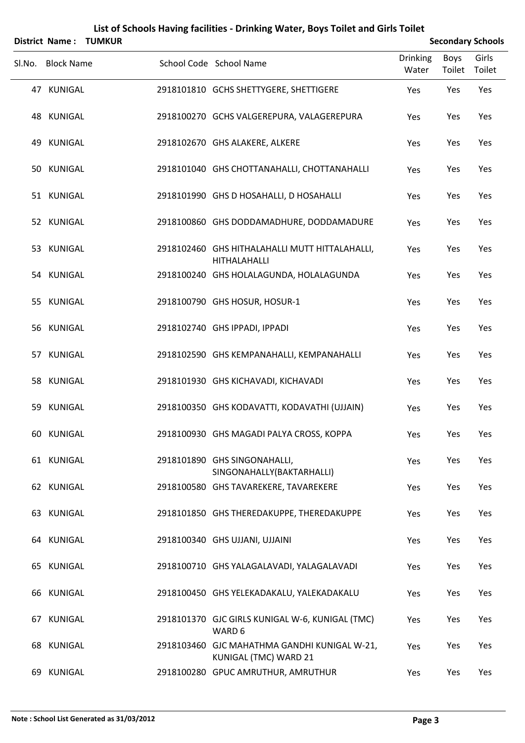|    | List of Schools Having facilities - Drinking Water, Boys Toilet and Girls Toilet |  |                                                                       |                          |                |                          |  |  |  |
|----|----------------------------------------------------------------------------------|--|-----------------------------------------------------------------------|--------------------------|----------------|--------------------------|--|--|--|
|    | District Name: TUMKUR                                                            |  |                                                                       |                          |                | <b>Secondary Schools</b> |  |  |  |
|    | Sl.No. Block Name                                                                |  | School Code School Name                                               | <b>Drinking</b><br>Water | Boys<br>Toilet | Girls<br>Toilet          |  |  |  |
|    | 47 KUNIGAL                                                                       |  | 2918101810 GCHS SHETTYGERE, SHETTIGERE                                | Yes                      | Yes            | Yes                      |  |  |  |
|    | 48 KUNIGAL                                                                       |  | 2918100270 GCHS VALGEREPURA, VALAGEREPURA                             | Yes                      | Yes            | Yes                      |  |  |  |
| 49 | KUNIGAL                                                                          |  | 2918102670 GHS ALAKERE, ALKERE                                        | Yes                      | Yes            | Yes                      |  |  |  |
|    | 50 KUNIGAL                                                                       |  | 2918101040 GHS CHOTTANAHALLI, CHOTTANAHALLI                           | Yes                      | Yes            | Yes                      |  |  |  |
|    | 51 KUNIGAL                                                                       |  | 2918101990 GHS D HOSAHALLI, D HOSAHALLI                               | Yes                      | Yes            | Yes                      |  |  |  |
|    | 52 KUNIGAL                                                                       |  | 2918100860 GHS DODDAMADHURE, DODDAMADURE                              | Yes                      | Yes            | Yes                      |  |  |  |
|    | 53 KUNIGAL                                                                       |  | 2918102460 GHS HITHALAHALLI MUTT HITTALAHALLI,<br>HITHALAHALLI        | Yes                      | Yes            | Yes                      |  |  |  |
|    | 54 KUNIGAL                                                                       |  | 2918100240 GHS HOLALAGUNDA, HOLALAGUNDA                               | Yes                      | Yes            | Yes                      |  |  |  |
|    | 55 KUNIGAL                                                                       |  | 2918100790 GHS HOSUR, HOSUR-1                                         | Yes                      | Yes            | Yes                      |  |  |  |
|    | 56 KUNIGAL                                                                       |  | 2918102740 GHS IPPADI, IPPADI                                         | Yes                      | Yes            | Yes                      |  |  |  |
|    | 57 KUNIGAL                                                                       |  | 2918102590 GHS KEMPANAHALLI, KEMPANAHALLI                             | Yes                      | Yes            | Yes                      |  |  |  |
|    | 58 KUNIGAL                                                                       |  | 2918101930 GHS KICHAVADI, KICHAVADI                                   | Yes                      | Yes            | Yes                      |  |  |  |
| 59 | KUNIGAL                                                                          |  | 2918100350 GHS KODAVATTI, KODAVATHI (UJJAIN)                          | Yes                      | Yes            | Yes                      |  |  |  |
|    | 60 KUNIGAL                                                                       |  | 2918100930 GHS MAGADI PALYA CROSS, KOPPA                              | Yes                      | Yes            | Yes                      |  |  |  |
|    | 61 KUNIGAL                                                                       |  | 2918101890 GHS SINGONAHALLI,<br>SINGONAHALLY(BAKTARHALLI)             | Yes                      | Yes            | Yes                      |  |  |  |
|    | 62 KUNIGAL                                                                       |  | 2918100580 GHS TAVAREKERE, TAVAREKERE                                 | Yes                      | Yes            | Yes                      |  |  |  |
|    | 63 KUNIGAL                                                                       |  | 2918101850 GHS THEREDAKUPPE, THEREDAKUPPE                             | Yes                      | Yes            | Yes                      |  |  |  |
|    | 64 KUNIGAL                                                                       |  | 2918100340 GHS UJJANI, UJJAINI                                        | Yes                      | Yes            | Yes                      |  |  |  |
|    | 65 KUNIGAL                                                                       |  | 2918100710 GHS YALAGALAVADI, YALAGALAVADI                             | Yes                      | Yes            | Yes                      |  |  |  |
|    | 66 KUNIGAL                                                                       |  | 2918100450 GHS YELEKADAKALU, YALEKADAKALU                             | Yes                      | Yes            | Yes                      |  |  |  |
|    | 67 KUNIGAL                                                                       |  | 2918101370 GJC GIRLS KUNIGAL W-6, KUNIGAL (TMC)<br>WARD 6             | Yes                      | Yes            | Yes                      |  |  |  |
|    | 68 KUNIGAL                                                                       |  | 2918103460 GJC MAHATHMA GANDHI KUNIGAL W-21,<br>KUNIGAL (TMC) WARD 21 | Yes                      | Yes            | Yes                      |  |  |  |
| 69 | <b>KUNIGAL</b>                                                                   |  | 2918100280 GPUC AMRUTHUR, AMRUTHUR                                    | Yes                      | Yes            | Yes                      |  |  |  |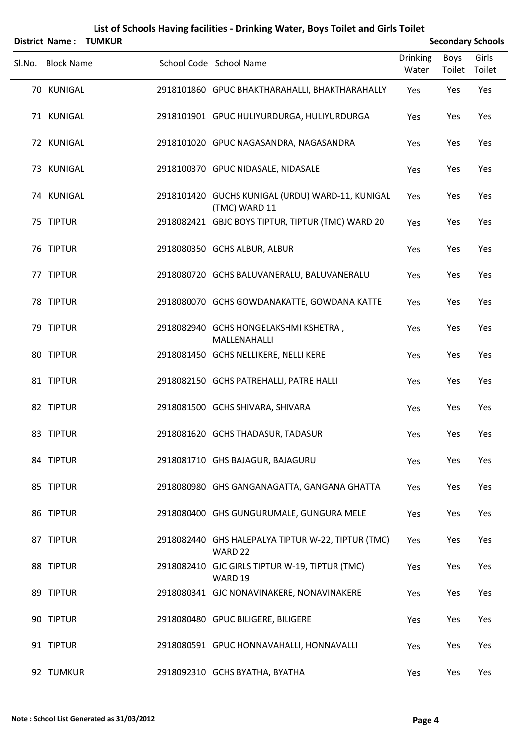| District Name:    | <b>TUMKUR</b> | List of Schools Having facilities - Drinking Water, Boys Toilet and Girls Toilet |                 |             | <b>Secondary Schools</b> |
|-------------------|---------------|----------------------------------------------------------------------------------|-----------------|-------------|--------------------------|
|                   |               |                                                                                  | <b>Drinking</b> | <b>Boys</b> | Girls                    |
| Sl.No. Block Name |               | School Code School Name                                                          | Water           | Toilet      | Toilet                   |
| 70 KUNIGAL        |               | 2918101860 GPUC BHAKTHARAHALLI, BHAKTHARAHALLY                                   | Yes             | Yes         | Yes                      |
| 71 KUNIGAL        |               | 2918101901 GPUC HULIYURDURGA, HULIYURDURGA                                       | Yes             | Yes         | Yes                      |
| 72 KUNIGAL        |               | 2918101020 GPUC NAGASANDRA, NAGASANDRA                                           | Yes             | Yes         | Yes                      |
| 73 KUNIGAL        |               | 2918100370 GPUC NIDASALE, NIDASALE                                               | Yes             | Yes         | Yes                      |
| 74 KUNIGAL        |               | 2918101420 GUCHS KUNIGAL (URDU) WARD-11, KUNIGAL<br>(TMC) WARD 11                | Yes             | Yes         | Yes                      |
| 75 TIPTUR         |               | 2918082421 GBJC BOYS TIPTUR, TIPTUR (TMC) WARD 20                                | Yes             | Yes         | Yes                      |
| 76 TIPTUR         |               | 2918080350 GCHS ALBUR, ALBUR                                                     | Yes             | Yes         | Yes                      |
| 77 TIPTUR         |               | 2918080720 GCHS BALUVANERALU, BALUVANERALU                                       | Yes             | Yes         | Yes                      |
| 78 TIPTUR         |               | 2918080070 GCHS GOWDANAKATTE, GOWDANA KATTE                                      | Yes             | Yes         | Yes                      |
| 79 TIPTUR         |               | 2918082940 GCHS HONGELAKSHMI KSHETRA,<br>MALLENAHALLI                            | Yes             | Yes         | Yes                      |
| 80 TIPTUR         |               | 2918081450 GCHS NELLIKERE, NELLI KERE                                            | Yes             | Yes         | Yes                      |
| 81 TIPTUR         |               | 2918082150 GCHS PATREHALLI, PATRE HALLI                                          | Yes             | Yes         | Yes                      |
| 82 TIPTUR         |               | 2918081500 GCHS SHIVARA, SHIVARA                                                 | Yes             | Yes         | Yes                      |
| 83 TIPTUR         |               | 2918081620 GCHS THADASUR, TADASUR                                                | Yes             | Yes         | Yes                      |
| 84 TIPTUR         |               | 2918081710 GHS BAJAGUR, BAJAGURU                                                 | Yes             | Yes         | Yes                      |
| 85 TIPTUR         |               | 2918080980 GHS GANGANAGATTA, GANGANA GHATTA                                      | Yes             | Yes         | Yes                      |
| 86 TIPTUR         |               | 2918080400 GHS GUNGURUMALE, GUNGURA MELE                                         | Yes             | Yes         | Yes                      |
| 87 TIPTUR         |               | 2918082440 GHS HALEPALYA TIPTUR W-22, TIPTUR (TMC)<br>WARD <sub>22</sub>         | Yes             | Yes         | Yes                      |
| 88 TIPTUR         |               | 2918082410 GJC GIRLS TIPTUR W-19, TIPTUR (TMC)<br>WARD 19                        | Yes             | Yes         | Yes                      |
| 89 TIPTUR         |               | 2918080341 GJC NONAVINAKERE, NONAVINAKERE                                        | Yes             | Yes         | Yes                      |
| 90 TIPTUR         |               | 2918080480 GPUC BILIGERE, BILIGERE                                               | Yes             | Yes         | Yes                      |
| 91 TIPTUR         |               | 2918080591 GPUC HONNAVAHALLI, HONNAVALLI                                         | Yes             | Yes         | Yes                      |
| 92 TUMKUR         |               | 2918092310 GCHS BYATHA, BYATHA                                                   | Yes             | Yes         | Yes                      |

## **Note : School List Generated as 31/03/2012 Page 4**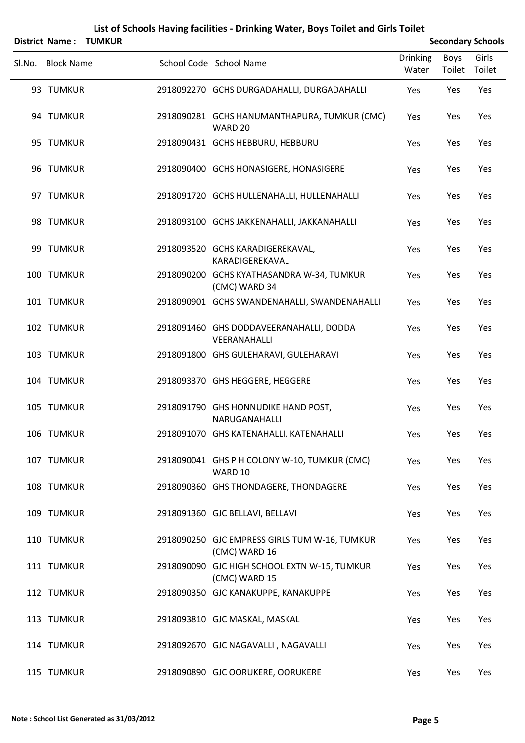|        | <b>District Name:</b> | <b>TUMKUR</b> |                                                                |                          |                | <b>Secondary Schools</b> |
|--------|-----------------------|---------------|----------------------------------------------------------------|--------------------------|----------------|--------------------------|
| Sl.No. | <b>Block Name</b>     |               | School Code School Name                                        | <b>Drinking</b><br>Water | Boys<br>Toilet | Girls<br>Toilet          |
|        | 93 TUMKUR             |               | 2918092270 GCHS DURGADAHALLI, DURGADAHALLI                     | Yes                      | Yes            | Yes                      |
|        | 94 TUMKUR             |               | 2918090281 GCHS HANUMANTHAPURA, TUMKUR (CMC)<br>WARD 20        | Yes                      | Yes            | Yes                      |
|        | 95 TUMKUR             |               | 2918090431 GCHS HEBBURU, HEBBURU                               | Yes                      | Yes            | Yes                      |
|        | 96 TUMKUR             |               | 2918090400 GCHS HONASIGERE, HONASIGERE                         | Yes                      | Yes            | Yes                      |
|        | 97 TUMKUR             |               | 2918091720 GCHS HULLENAHALLI, HULLENAHALLI                     | Yes                      | Yes            | Yes                      |
|        | 98 TUMKUR             |               | 2918093100 GCHS JAKKENAHALLI, JAKKANAHALLI                     | Yes                      | Yes            | Yes                      |
|        | 99 TUMKUR             |               | 2918093520 GCHS KARADIGEREKAVAL,<br>KARADIGEREKAVAL            | Yes                      | Yes            | Yes                      |
|        | 100 TUMKUR            |               | 2918090200 GCHS KYATHASANDRA W-34, TUMKUR<br>(CMC) WARD 34     | Yes                      | Yes            | Yes                      |
|        | 101 TUMKUR            |               | 2918090901 GCHS SWANDENAHALLI, SWANDENAHALLI                   | Yes                      | Yes            | Yes                      |
|        | 102 TUMKUR            |               | 2918091460 GHS DODDAVEERANAHALLI, DODDA<br>VEERANAHALLI        | Yes                      | Yes            | Yes                      |
|        | 103 TUMKUR            |               | 2918091800 GHS GULEHARAVI, GULEHARAVI                          | Yes                      | Yes            | Yes                      |
|        | 104 TUMKUR            |               | 2918093370 GHS HEGGERE, HEGGERE                                | Yes                      | Yes            | Yes                      |
|        | 105 TUMKUR            |               | 2918091790 GHS HONNUDIKE HAND POST,<br>NARUGANAHALLI           | Yes                      | Yes            | Yes                      |
|        | 106 TUMKUR            |               | 2918091070 GHS KATENAHALLI, KATENAHALLI                        | Yes                      | Yes            | Yes                      |
|        | 107 TUMKUR            |               | 2918090041 GHS P H COLONY W-10, TUMKUR (CMC)<br>WARD 10        | Yes                      | Yes            | Yes                      |
|        | 108 TUMKUR            |               | 2918090360 GHS THONDAGERE, THONDAGERE                          | Yes                      | Yes            | Yes                      |
|        | 109 TUMKUR            |               | 2918091360 GJC BELLAVI, BELLAVI                                | Yes                      | Yes            | Yes                      |
|        | 110 TUMKUR            |               | 2918090250 GJC EMPRESS GIRLS TUM W-16, TUMKUR<br>(CMC) WARD 16 | Yes                      | Yes            | Yes                      |
|        | 111 TUMKUR            |               | 2918090090 GJC HIGH SCHOOL EXTN W-15, TUMKUR<br>(CMC) WARD 15  | Yes                      | Yes            | Yes                      |
|        | 112 TUMKUR            |               | 2918090350 GJC KANAKUPPE, KANAKUPPE                            | Yes                      | Yes            | Yes                      |
|        | 113 TUMKUR            |               | 2918093810 GJC MASKAL, MASKAL                                  | Yes                      | Yes            | Yes                      |
|        | 114 TUMKUR            |               | 2918092670 GJC NAGAVALLI, NAGAVALLI                            | Yes                      | Yes            | Yes                      |
|        | 115 TUMKUR            |               | 2918090890 GJC OORUKERE, OORUKERE                              | Yes                      | Yes            | Yes                      |